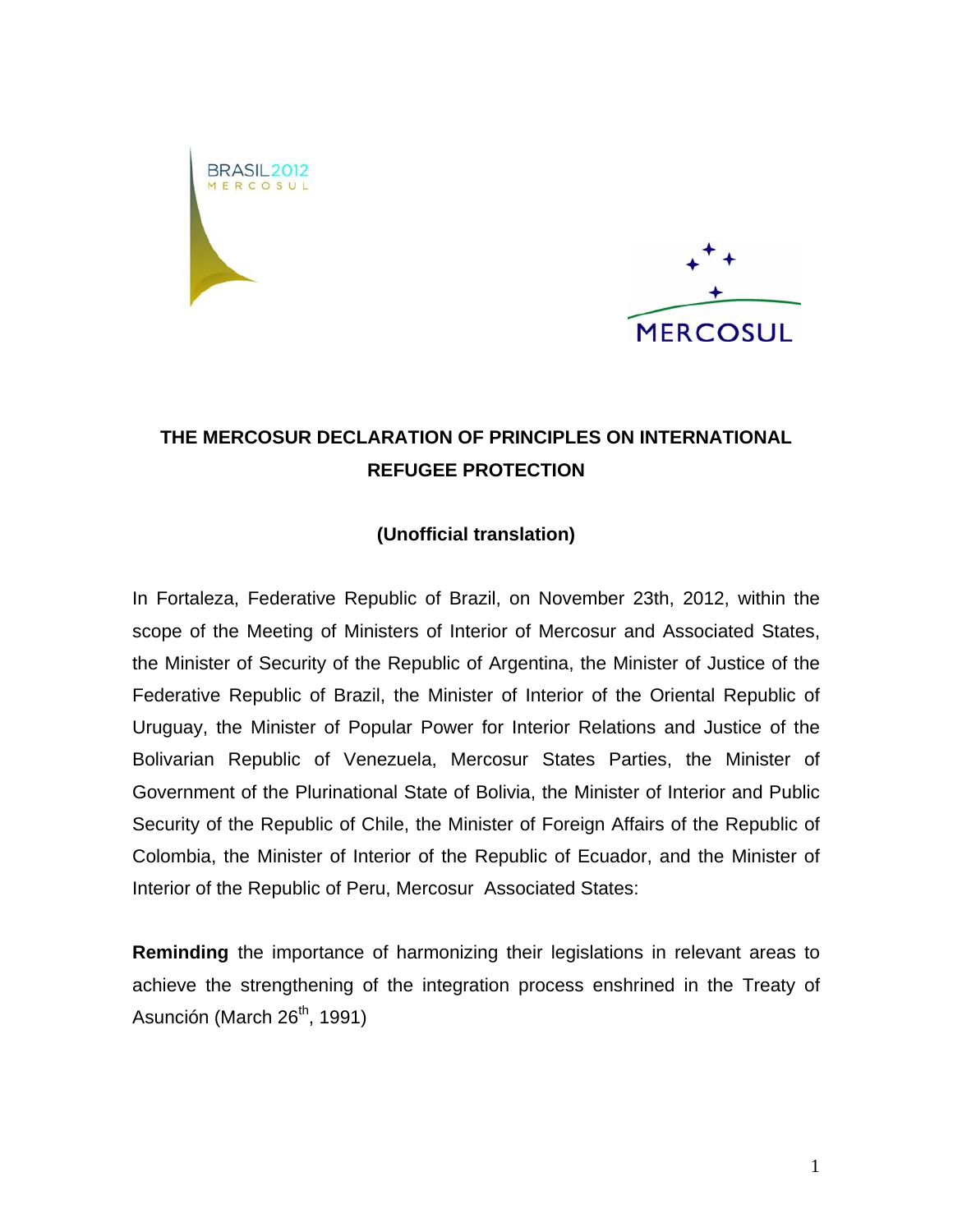



## **THE MERCOSUR DECLARATION OF PRINCIPLES ON INTERNATIONAL REFUGEE PROTECTION**

## **(Unofficial translation)**

In Fortaleza, Federative Republic of Brazil, on November 23th, 2012, within the scope of the Meeting of Ministers of Interior of Mercosur and Associated States, the Minister of Security of the Republic of Argentina, the Minister of Justice of the Federative Republic of Brazil, the Minister of Interior of the Oriental Republic of Uruguay, the Minister of Popular Power for Interior Relations and Justice of the Bolivarian Republic of Venezuela, Mercosur States Parties, the Minister of Government of the Plurinational State of Bolivia, the Minister of Interior and Public Security of the Republic of Chile, the Minister of Foreign Affairs of the Republic of Colombia, the Minister of Interior of the Republic of Ecuador, and the Minister of Interior of the Republic of Peru, Mercosur Associated States:

**Reminding** the importance of harmonizing their legislations in relevant areas to achieve the strengthening of the integration process enshrined in the Treaty of Asunción (March  $26<sup>th</sup>$ , 1991)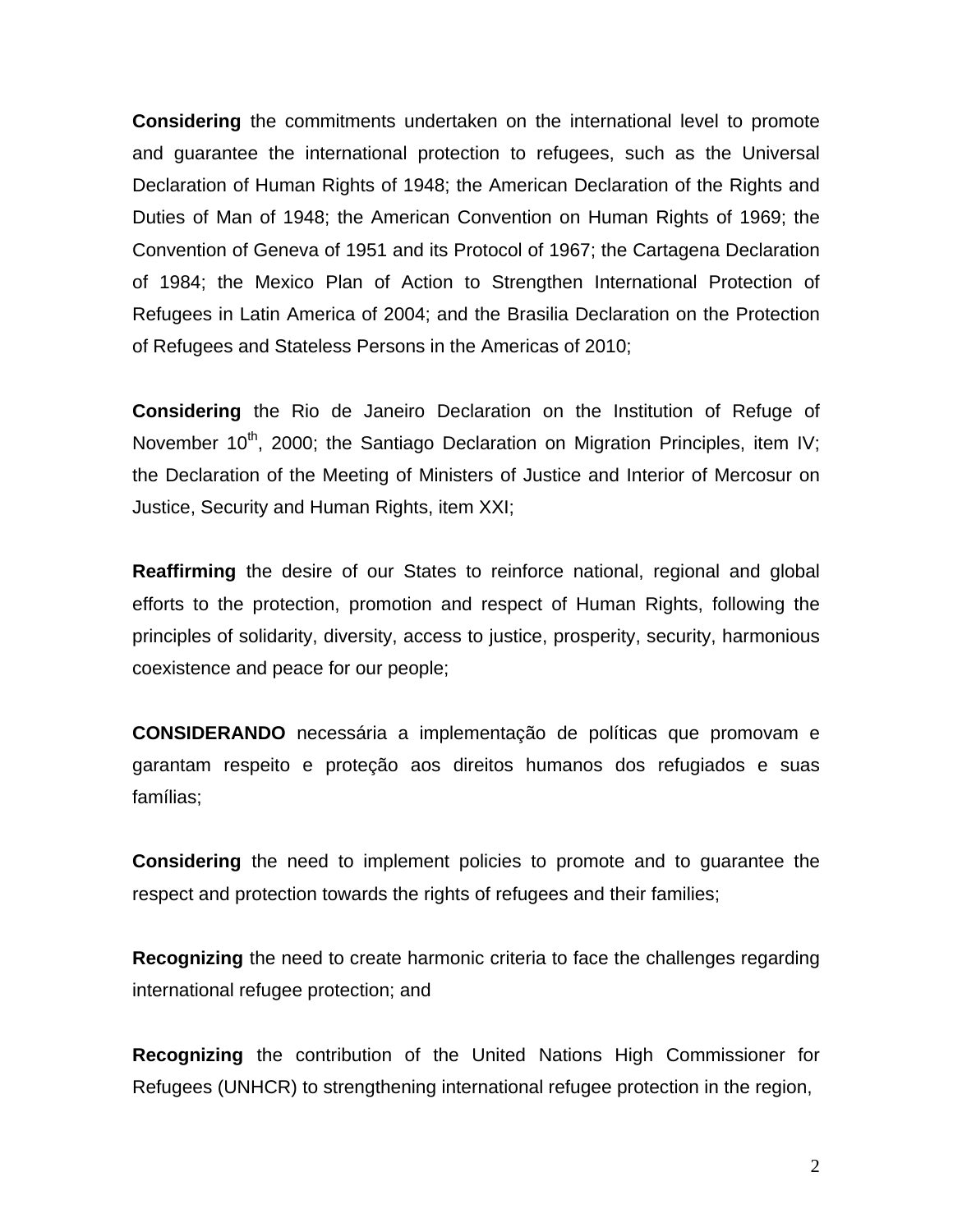**Considering** the commitments undertaken on the international level to promote and guarantee the international protection to refugees, such as the Universal Declaration of Human Rights of 1948; the American Declaration of the Rights and Duties of Man of 1948; the American Convention on Human Rights of 1969; the Convention of Geneva of 1951 and its Protocol of 1967; the Cartagena Declaration of 1984; the Mexico Plan of Action to Strengthen International Protection of Refugees in Latin America of 2004; and the Brasilia Declaration on the Protection of Refugees and Stateless Persons in the Americas of 2010;

**Considering** the Rio de Janeiro Declaration on the Institution of Refuge of November 10<sup>th</sup>, 2000; the Santiago Declaration on Migration Principles, item IV; the Declaration of the Meeting of Ministers of Justice and Interior of Mercosur on Justice, Security and Human Rights, item XXI;

**Reaffirming** the desire of our States to reinforce national, regional and global efforts to the protection, promotion and respect of Human Rights, following the principles of solidarity, diversity, access to justice, prosperity, security, harmonious coexistence and peace for our people;

**CONSIDERANDO** necessária a implementação de políticas que promovam e garantam respeito e proteção aos direitos humanos dos refugiados e suas famílias;

**Considering** the need to implement policies to promote and to guarantee the respect and protection towards the rights of refugees and their families;

**Recognizing** the need to create harmonic criteria to face the challenges regarding international refugee protection; and

**Recognizing** the contribution of the United Nations High Commissioner for Refugees (UNHCR) to strengthening international refugee protection in the region,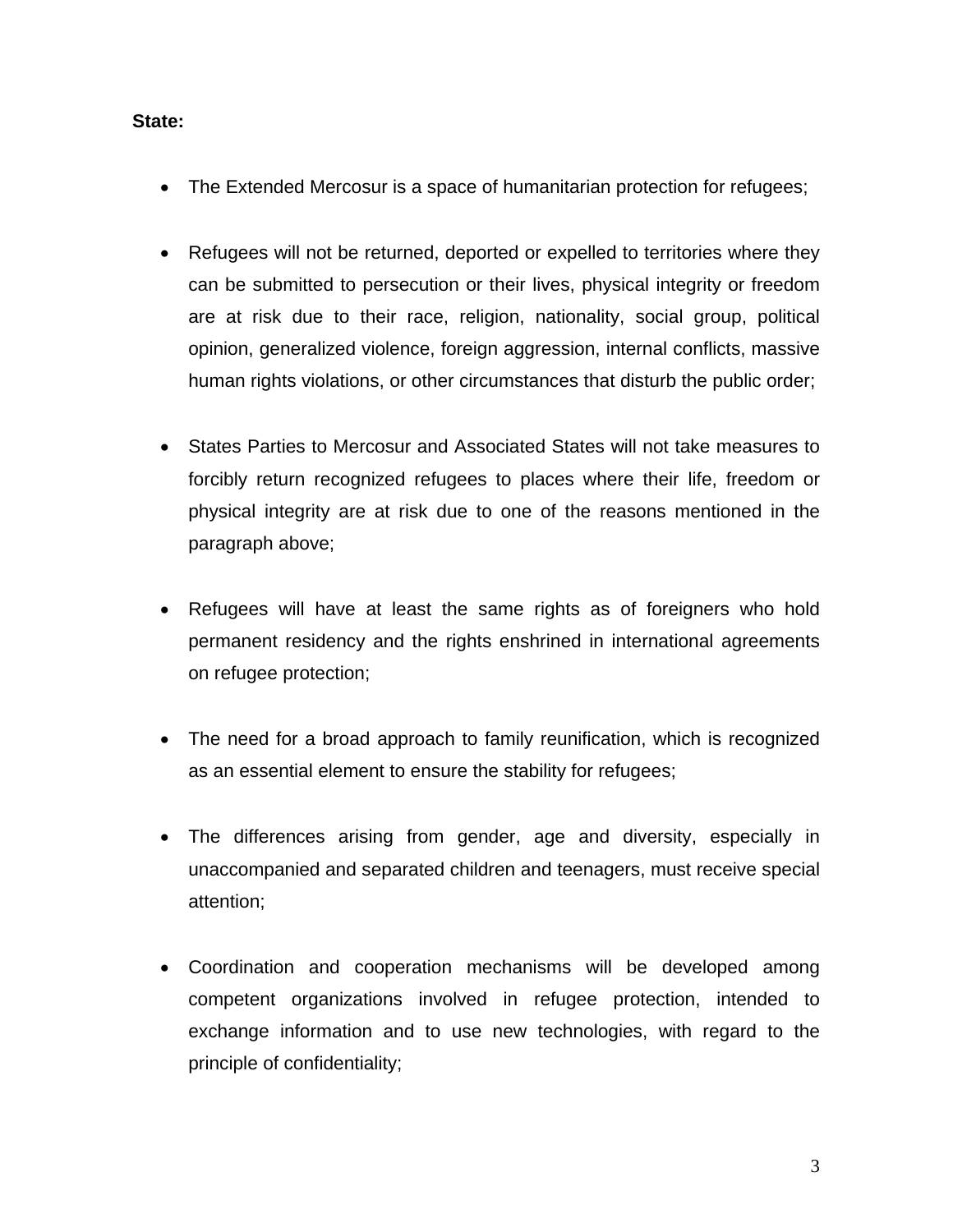## **State:**

- The Extended Mercosur is a space of humanitarian protection for refugees;
- Refugees will not be returned, deported or expelled to territories where they can be submitted to persecution or their lives, physical integrity or freedom are at risk due to their race, religion, nationality, social group, political opinion, generalized violence, foreign aggression, internal conflicts, massive human rights violations, or other circumstances that disturb the public order;
- States Parties to Mercosur and Associated States will not take measures to forcibly return recognized refugees to places where their life, freedom or physical integrity are at risk due to one of the reasons mentioned in the paragraph above;
- Refugees will have at least the same rights as of foreigners who hold permanent residency and the rights enshrined in international agreements on refugee protection;
- The need for a broad approach to family reunification, which is recognized as an essential element to ensure the stability for refugees;
- The differences arising from gender, age and diversity, especially in unaccompanied and separated children and teenagers, must receive special attention;
- Coordination and cooperation mechanisms will be developed among competent organizations involved in refugee protection, intended to exchange information and to use new technologies, with regard to the principle of confidentiality;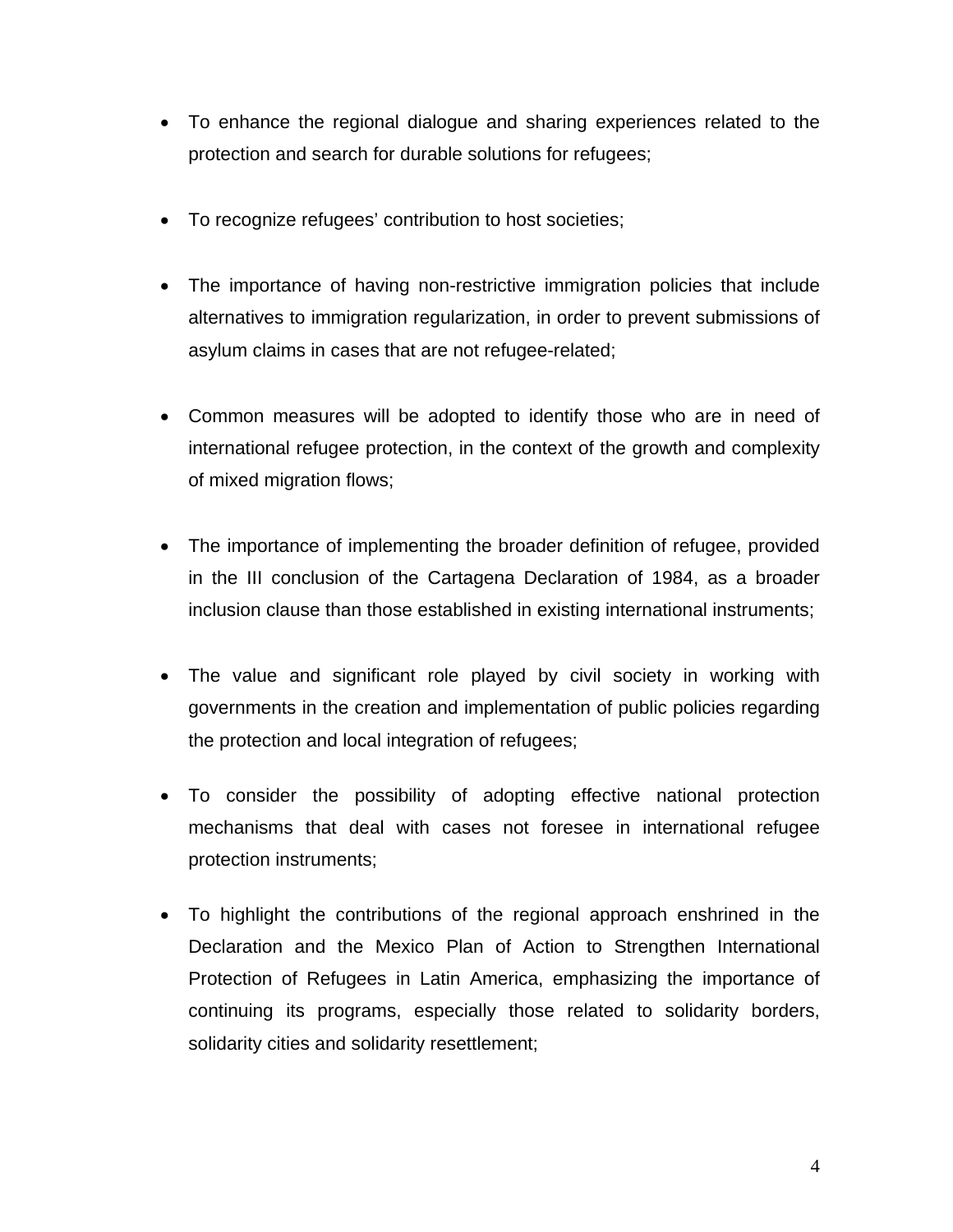- To enhance the regional dialogue and sharing experiences related to the protection and search for durable solutions for refugees;
- To recognize refugees' contribution to host societies;
- The importance of having non-restrictive immigration policies that include alternatives to immigration regularization, in order to prevent submissions of asylum claims in cases that are not refugee-related;
- Common measures will be adopted to identify those who are in need of international refugee protection, in the context of the growth and complexity of mixed migration flows;
- The importance of implementing the broader definition of refugee, provided in the III conclusion of the Cartagena Declaration of 1984, as a broader inclusion clause than those established in existing international instruments;
- The value and significant role played by civil society in working with governments in the creation and implementation of public policies regarding the protection and local integration of refugees;
- To consider the possibility of adopting effective national protection mechanisms that deal with cases not foresee in international refugee protection instruments;
- To highlight the contributions of the regional approach enshrined in the Declaration and the Mexico Plan of Action to Strengthen International Protection of Refugees in Latin America, emphasizing the importance of continuing its programs, especially those related to solidarity borders, solidarity cities and solidarity resettlement;